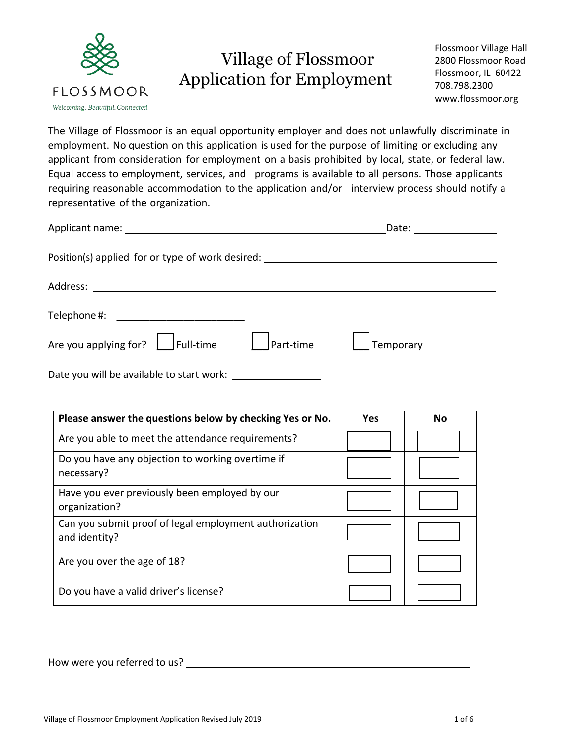

# Village of Flossmoor Application for Employment

Flossmoor Village Hall 2800 Flossmoor Road Flossmoor, IL 60422 708.798.2300 www.flossmoor.org

The Village of Flossmoor is an equal opportunity employer and does not unlawfully discriminate in employment. No question on this application is used for the purpose of limiting or excluding any applicant from consideration for employment on a basis prohibited by local, state, or federal law. Equal access to employment, services, and programs is available to all persons. Those applicants requiring reasonable accommodation to the application and/or interview process should notify a representative of the organization.

|                                                                                  |                  | Date: the contract of the contract of the contract of the contract of the contract of the contract of the contract of the contract of the contract of the contract of the contract of the contract of the contract of the cont |  |
|----------------------------------------------------------------------------------|------------------|--------------------------------------------------------------------------------------------------------------------------------------------------------------------------------------------------------------------------------|--|
| Position(s) applied for or type of work desired: _______________________________ |                  |                                                                                                                                                                                                                                |  |
|                                                                                  |                  |                                                                                                                                                                                                                                |  |
|                                                                                  |                  |                                                                                                                                                                                                                                |  |
| Are you applying for? $\Box$ Full-time                                           | $\int$ Part-time | Temporary                                                                                                                                                                                                                      |  |
| Date you will be available to start work:                                        |                  |                                                                                                                                                                                                                                |  |

| Please answer the questions below by checking Yes or No.                | <b>Yes</b> | No |
|-------------------------------------------------------------------------|------------|----|
| Are you able to meet the attendance requirements?                       |            |    |
| Do you have any objection to working overtime if<br>necessary?          |            |    |
| Have you ever previously been employed by our<br>organization?          |            |    |
| Can you submit proof of legal employment authorization<br>and identity? |            |    |
| Are you over the age of 18?                                             |            |    |
| Do you have a valid driver's license?                                   |            |    |

How were you referred to us?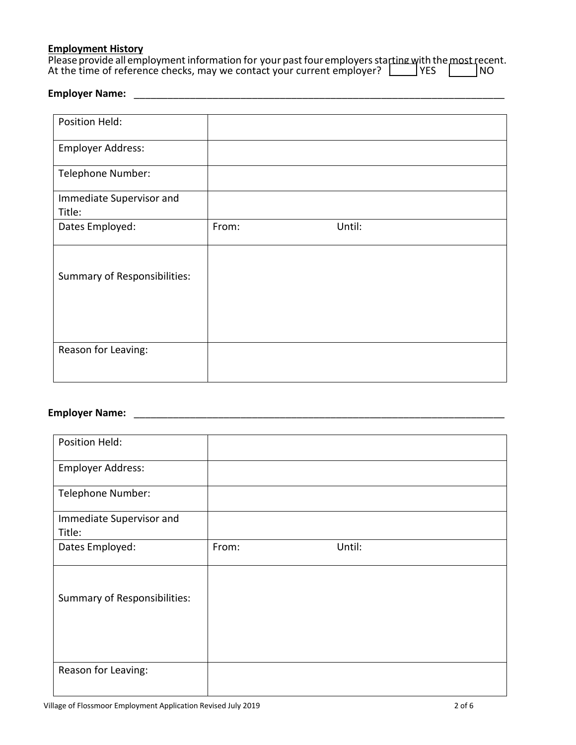# **Employment History**

| Please provide all employment information for your past four employers starting with the most recent. |       |     |
|-------------------------------------------------------------------------------------------------------|-------|-----|
| At the time of reference checks, may we contact your current employer?                                | l YES | 'NO |

# **Employer Name:** \_\_\_\_\_\_\_\_\_\_\_\_\_\_\_\_\_\_\_\_\_\_\_\_\_\_\_\_\_\_\_\_\_\_\_\_\_\_\_\_\_\_\_\_\_\_\_\_\_\_\_\_\_\_\_\_\_\_\_\_\_\_\_\_\_\_

| Position Held:                      |       |        |
|-------------------------------------|-------|--------|
| Employer Address:                   |       |        |
| Telephone Number:                   |       |        |
| Immediate Supervisor and<br>Title:  |       |        |
| Dates Employed:                     | From: | Until: |
| <b>Summary of Responsibilities:</b> |       |        |
| Reason for Leaving:                 |       |        |

# **Employer Name:** \_\_\_\_\_\_\_\_\_\_\_\_\_\_\_\_\_\_\_\_\_\_\_\_\_\_\_\_\_\_\_\_\_\_\_\_\_\_\_\_\_\_\_\_\_\_\_\_\_\_\_\_\_\_\_\_\_\_\_\_\_\_\_\_\_\_

| Position Held:                                             |       |        |  |
|------------------------------------------------------------|-------|--------|--|
|                                                            |       |        |  |
| <b>Employer Address:</b>                                   |       |        |  |
|                                                            |       |        |  |
| Telephone Number:                                          |       |        |  |
|                                                            |       |        |  |
| Immediate Supervisor and                                   |       |        |  |
| Title:                                                     |       |        |  |
|                                                            |       |        |  |
| Dates Employed:                                            | From: | Until: |  |
|                                                            |       |        |  |
|                                                            |       |        |  |
|                                                            |       |        |  |
|                                                            |       |        |  |
|                                                            |       |        |  |
|                                                            |       |        |  |
|                                                            |       |        |  |
|                                                            |       |        |  |
|                                                            |       |        |  |
|                                                            |       |        |  |
|                                                            |       |        |  |
|                                                            |       |        |  |
| <b>Summary of Responsibilities:</b><br>Reason for Leaving: |       |        |  |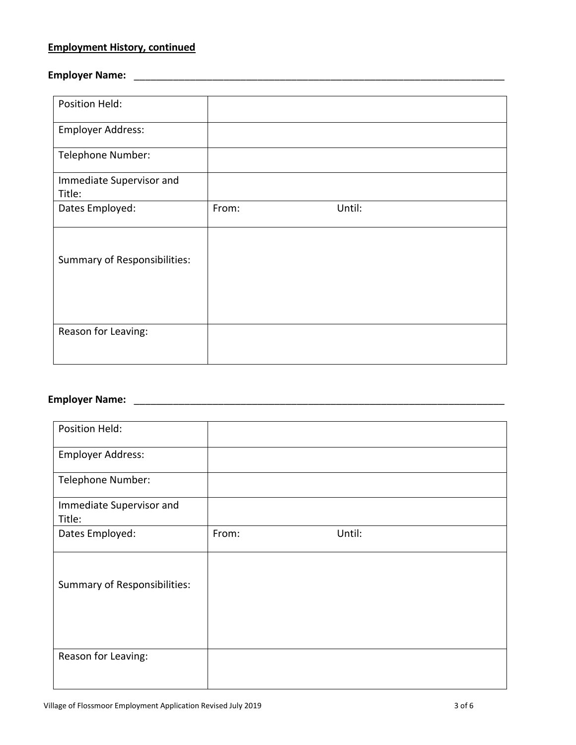#### **Employment History, continued**

#### **Employer Name:** \_\_\_\_\_\_\_\_\_\_\_\_\_\_\_\_\_\_\_\_\_\_\_\_\_\_\_\_\_\_\_\_\_\_\_\_\_\_\_\_\_\_\_\_\_\_\_\_\_\_\_\_\_\_\_\_\_\_\_\_\_\_\_\_\_\_

| Position Held:                     |       |        |
|------------------------------------|-------|--------|
| <b>Employer Address:</b>           |       |        |
| <b>Telephone Number:</b>           |       |        |
| Immediate Supervisor and<br>Title: |       |        |
| Dates Employed:                    | From: | Until: |
| Summary of Responsibilities:       |       |        |
| Reason for Leaving:                |       |        |

# **Employer Name:** \_\_\_\_\_\_\_\_\_\_\_\_\_\_\_\_\_\_\_\_\_\_\_\_\_\_\_\_\_\_\_\_\_\_\_\_\_\_\_\_\_\_\_\_\_\_\_\_\_\_\_\_\_\_\_\_\_\_\_\_\_\_\_\_\_\_

| Position Held:                      |       |        |
|-------------------------------------|-------|--------|
|                                     |       |        |
| <b>Employer Address:</b>            |       |        |
| Telephone Number:                   |       |        |
| Immediate Supervisor and<br>Title:  |       |        |
| Dates Employed:                     | From: | Until: |
| <b>Summary of Responsibilities:</b> |       |        |
|                                     |       |        |
| Reason for Leaving:                 |       |        |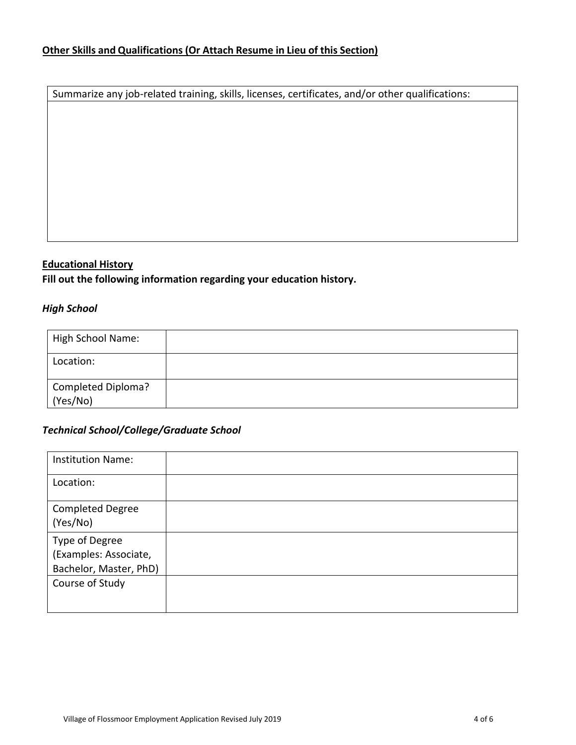Summarize any job-related training, skills, licenses, certificates, and/or other qualifications:

#### **Educational History**

**Fill out the following information regarding your education history.** 

## *High School*

| High School Name:              |  |
|--------------------------------|--|
| Location:                      |  |
| Completed Diploma?<br>(Yes/No) |  |

#### *Technical School/College/Graduate School*

| <b>Institution Name:</b> |  |
|--------------------------|--|
| Location:                |  |
| <b>Completed Degree</b>  |  |
| (Yes/No)                 |  |
| Type of Degree           |  |
| (Examples: Associate,    |  |
| Bachelor, Master, PhD)   |  |
| Course of Study          |  |
|                          |  |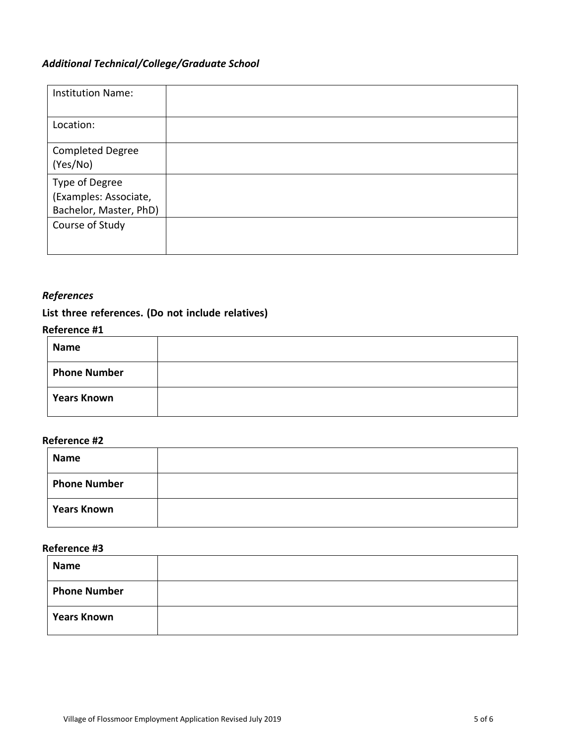# *Additional Technical/College/Graduate School*

| <b>Institution Name:</b>                                          |  |
|-------------------------------------------------------------------|--|
| Location:                                                         |  |
| <b>Completed Degree</b><br>(Yes/No)                               |  |
| Type of Degree<br>(Examples: Associate,<br>Bachelor, Master, PhD) |  |
| Course of Study                                                   |  |

## *References*

# **List three references. (Do not include relatives)**

#### **Reference #1**

| <b>Name</b>         |  |
|---------------------|--|
| <b>Phone Number</b> |  |
| <b>Years Known</b>  |  |

#### **Reference #2**

| Name                |  |
|---------------------|--|
| <b>Phone Number</b> |  |
| <b>Years Known</b>  |  |

#### **Reference #3**

| <b>Name</b>         |  |
|---------------------|--|
| <b>Phone Number</b> |  |
| <b>Years Known</b>  |  |